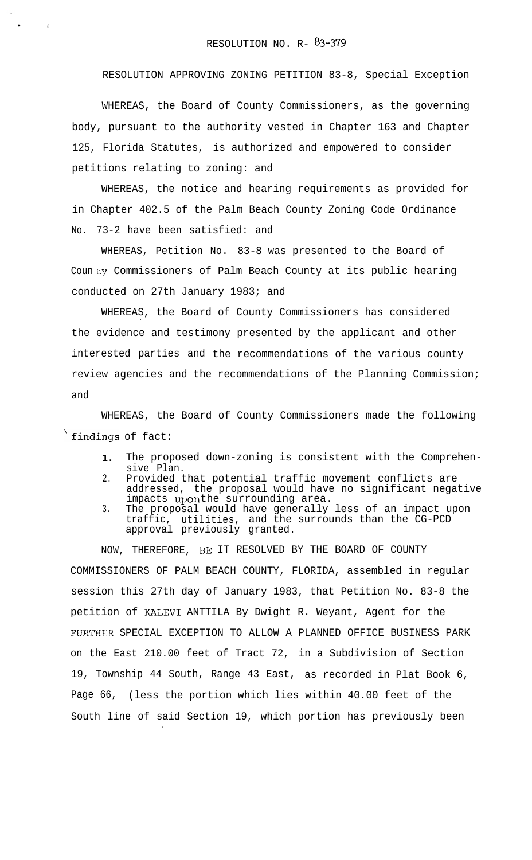l .

RESOLUTION APPROVING ZONING PETITION 83-8, Special Exception

WHEREAS, the Board of County Commissioners, as the governing body, pursuant to the authority vested in Chapter 163 and Chapter 125, Florida Statutes, is authorized and empowered to consider petitions relating to zoning: and

WHEREAS, the notice and hearing requirements as provided for in Chapter 402.5 of the Palm Beach County Zoning Code Ordinance No. 73-2 have been satisfied: and

WHEREAS, Petition No. 83-8 was presented to the Board of Coun by Commissioners of Palm Beach County at its public hearing conducted on 27th January 1983; and

WHEREAS, the Board of County Commissioners has considered . the evidence and testimony presented by the applicant and other interested parties and the recommendations of the various county review agencies and the recommendations of the Planning Commission; and

WHEREAS, the Board of County Commissioners made the following  $\sqrt{\text{findings of fact}}$ :

- **1 .** The proposed down-zoning is consistent with the Comprehensive Plan.
- 2. Provided that potential traffic movement conflicts are addressed, the proposal would have no significant negative impacts uponthe surrounding area.
- 3. The proposal would have generally less of an impact upon traffic, utilities, and the surrounds than the CG-PCD approval previously granted.

NOW, THEREFORE, 13E IT RESOLVED BY THE BOARD OF COUNTY COMMISSIONERS OF PALM BEACH COUNTY, FLORIDA, assembled in regular session this 27th day of January 1983, that Petition No. 83-8 the petition of KALEVI ANTTILA By Dwight R. Weyant, Agent for the FURTHER SPECIAL EXCEPTION TO ALLOW A PLANNED OFFICE BUSINESS PARK on the East 210.00 feet of Tract 72, in a Subdivision of Section 19, Township 44 South, Range 43 East, as recorded in Plat Book 6, Page 66, (less the portion which lies within 40.00 feet of the South line of said Section 19, which portion has previously been

.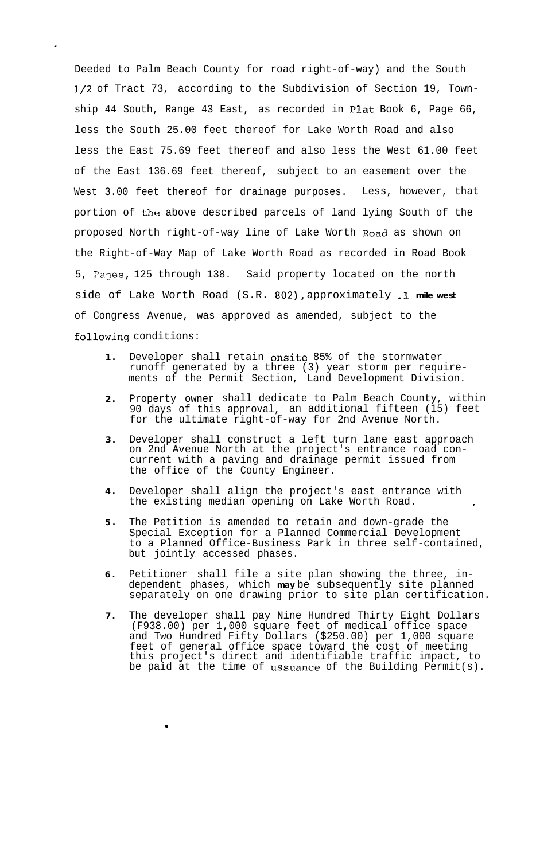Deeded to Palm Beach County for road right-of-way) and the South l/2 of Tract 73, according to the Subdivision of Section 19, Township 44 South, Range 43 East, as recorded in Plat Book 6, Page 66, less the South 25.00 feet thereof for Lake Worth Road and also less the East 75.69 feet thereof and also less the West 61.00 feet of the East 136.69 feet thereof, subject to an easement over the West 3.00 feet thereof for drainage purposes. Less, however, that portion of the above described parcels of land lying South of the proposed North right-of-way line of Lake Worth Road as shown on the Right-of-Way Map of Lake Worth Road as recorded in Road Book 5, Pages, 125 through 138. Said property located on the north side of Lake Worth Road (S.R. **802),** approximately .l **mile west** of Congress Avenue, was approved as amended, subject to the fol.lowing conditions:

.

- **1 .** Developer shall retain onsite 85% of the stormwater runoff generated by a three (3) year storm per requirements of the Permit Section, Land Development Division.
- **2 .** Property owner shall dedicate to Palm Beach County, within 90 days of this approval, an additional fifteen (15) feet for the ultimate right-of-way for 2nd Avenue North.
- **3 .** Developer shall construct a left turn lane east approach on 2nd Avenue North at the project's entrance road concurrent with a paving and drainage permit issued from the office of the County Engineer.
- **4 .** Developer shall align the project's east entrance with the existing median opening on Lake Worth Road.
- **5 .** The Petition is amended to retain and down-grade the Special Exception for a Planned Commercial Development to a Planned Office-Business Park in three self-contained, but jointly accessed phases.
- **6 .** Petitioner shall file a site plan showing the three, independent phases, which **may** be subsequently site planned separately on one drawing prior to site plan certification.
- **7 .** The developer shall pay Nine Hundred Thirty Eight Dollars (F938.00) per 1,000 square feet of medical office space and Two Hundred Fifty Dollars (\$250.00) per 1,000 square feet of general office space toward the cost of meeting this project's direct and identifiable traffic impact, to be paid at the time of ussuance of the Building Permit(s).

.